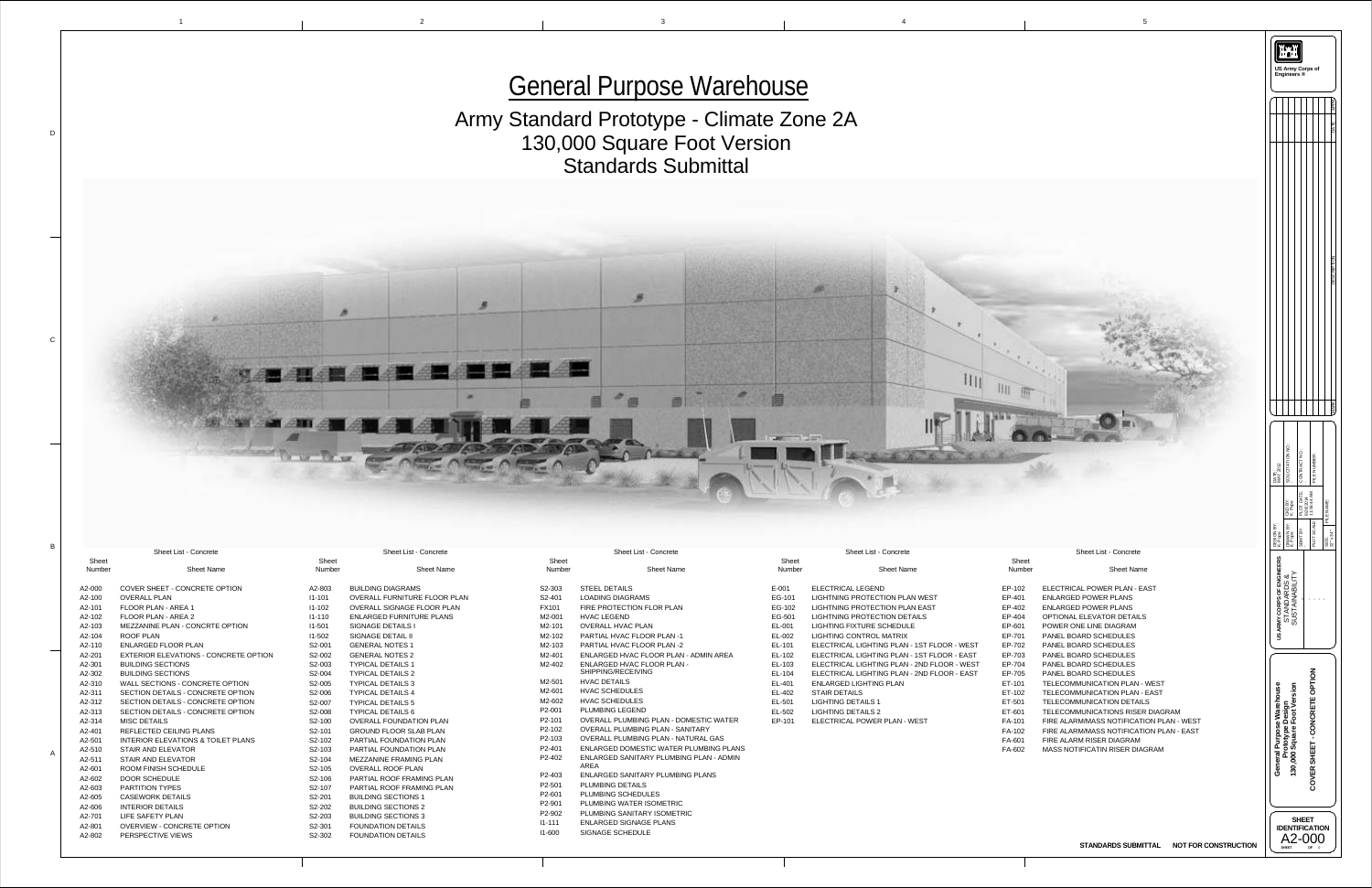1

D

C

B

A



|                                 | <b>Sheet List - Concrete</b>                                  |                  | <b>Sheet List - Concrete</b>                                                               |        |
|---------------------------------|---------------------------------------------------------------|------------------|--------------------------------------------------------------------------------------------|--------|
| <b>Sheet</b>                    |                                                               | <b>Sheet</b>     |                                                                                            |        |
| <b>Number</b>                   | <b>Sheet Name</b>                                             | <b>Number</b>    | <b>Sheet Name</b>                                                                          |        |
| S2-303                          | <b>STEEL DETAILS</b>                                          | $E-001$          | <b>ELECTRICAL LEGEND</b>                                                                   | E      |
| S2-401                          | <b>LOADING DIAGRAMS</b>                                       | EG-101           | <b>LIGHTNING PROTECTION PLAN WEST</b>                                                      | Е      |
| <b>FX101</b>                    | FIRE PROTECTION FLOR PLAN                                     | EG-102           | LIGHTNING PROTECTION PLAN EAST                                                             | Е      |
| M2-001                          | <b>HVAC LEGEND</b>                                            | EG-501           | <b>LIGHTNING PROTECTION DETAILS</b>                                                        | E      |
| M2-101                          | <b>OVERALL HVAC PLAN</b>                                      | EL-001           | <b>LIGHTING FIXTURE SCHEDULE</b>                                                           | E      |
| M2-102                          | <b>PARTIAL HVAC FLOOR PLAN-1</b>                              | EL-002           | <b>LIGHTING CONTROL MATRIX</b>                                                             | E      |
| M2-103                          | PARTIAL HVAC FLOOR PLAN -2                                    | EL-101           | ELECTRICAL LIGHTING PLAN - 1ST FLOOR - WEST                                                | Е      |
| M2-401                          | ENLARGED HVAC FLOOR PLAN - ADMIN AREA                         | EL-102           | ELECTRICAL LIGHTING PLAN - 1ST FLOOR - EAST                                                | E      |
| M2-402                          | <b>ENLARGED HVAC FLOOR PLAN -</b><br>SHIPPING/RECEIVING       | EL-103<br>EL-104 | ELECTRICAL LIGHTING PLAN - 2ND FLOOR - WEST<br>ELECTRICAL LIGHTING PLAN - 2ND FLOOR - EAST | E<br>E |
| M2-501                          | <b>HVAC DETAILS</b>                                           | EL-401           | <b>ENLARGED LIGHTING PLAN</b>                                                              | E      |
| M2-601                          | <b>HVAC SCHEDULES</b>                                         | EL-402           | <b>STAIR DETAILS</b>                                                                       | E      |
| M2-602                          | <b>HVAC SCHEDULES</b>                                         | EL-501           | <b>LIGHTING DETAILS 1</b>                                                                  | E      |
| P2-001                          | <b>PLUMBING LEGEND</b>                                        | EL-502           | <b>LIGHTING DETAILS 2</b>                                                                  | E      |
| P <sub>2</sub> -101             | <b>OVERALL PLUMBING PLAN - DOMESTIC WATER</b>                 | EP-101           | ELECTRICAL POWER PLAN - WEST                                                               | F      |
| P2-102                          | <b>OVERALL PLUMBING PLAN - SANITARY</b>                       |                  |                                                                                            | F      |
| P2-103                          | <b>OVERALL PLUMBING PLAN - NATURAL GAS</b>                    |                  |                                                                                            | F      |
| P2-401                          | ENLARGED DOMESTIC WATER PLUMBING PLANS                        |                  |                                                                                            | F      |
| P <sub>2</sub> -40 <sub>2</sub> | <b>ENLARGED SANITARY PLUMBING PLAN - ADMIN</b><br><b>AREA</b> |                  |                                                                                            |        |
| P <sub>2</sub> -403             | <b>ENLARGED SANITARY PLUMBING PLANS</b>                       |                  |                                                                                            |        |
| P2-501                          | <b>PLUMBING DETAILS</b>                                       |                  |                                                                                            |        |
| P2-601                          | PLUMBING SCHEDULES                                            |                  |                                                                                            |        |
| P2-901                          | <b>PLUMBING WATER ISOMETRIC</b>                               |                  |                                                                                            |        |
| P <sub>2</sub> -90 <sub>2</sub> | PLUMBING SANITARY ISOMETRIC                                   |                  |                                                                                            |        |

![](_page_0_Picture_0.jpeg)

![](_page_0_Picture_1.jpeg)

I1-111 ENLARGED SIGNAGE PLANS

I1-600 SIGNAGE SCHEDULE

|                        | <b>Sheet List - Concrete</b>                  |                        | <b>Sheet List - Concrete</b>        |
|------------------------|-----------------------------------------------|------------------------|-------------------------------------|
| <b>Sheet</b><br>Number | <b>Sheet Name</b>                             | <b>Sheet</b><br>Number | <b>Sheet Name</b>                   |
| A2-000                 | <b>COVER SHEET - CONCRETE OPTION</b>          | A2-803                 | <b>BUILDING DIAGRAMS</b>            |
| A2-100                 | <b>OVERALL PLAN</b>                           | $11 - 101$             | <b>OVERALL FURNITURE FLOOR PLAN</b> |
| A2-101                 | <b>FLOOR PLAN - AREA 1</b>                    | $11 - 102$             | <b>OVERALL SIGNAGE FLOOR PLAN</b>   |
| A2-102                 | <b>FLOOR PLAN - AREA 2</b>                    | $11 - 110$             | <b>ENLARGED FURNITURE PLANS</b>     |
| A2-103                 | <b>MEZZANINE PLAN - CONCRTE OPTION</b>        | $11 - 501$             | <b>SIGNAGE DETAILS I</b>            |
| A2-104                 | <b>ROOF PLAN</b>                              | $11 - 502$             | <b>SIGNAGE DETAIL II</b>            |
| A2-110                 | <b>ENLARGED FLOOR PLAN</b>                    | S2-001                 | <b>GENERAL NOTES 1</b>              |
| A2-201                 | <b>EXTERIOR ELEVATIONS - CONCRETE OPTION</b>  | S2-002                 | <b>GENERAL NOTES 2</b>              |
| A2-301                 | <b>BUILDING SECTIONS</b>                      | S2-003                 | <b>TYPICAL DETAILS 1</b>            |
| A2-302                 | <b>BUILDING SECTIONS</b>                      | S2-004                 | <b>TYPICAL DETAILS 2</b>            |
| A2-310                 | <b>WALL SECTIONS - CONCRETE OPTION</b>        | S2-005                 | <b>TYPICAL DETAILS 3</b>            |
| A2-311                 | <b>SECTION DETAILS - CONCRETE OPTION</b>      | S2-006                 | <b>TYPICAL DETAILS 4</b>            |
| A2-312                 | <b>SECTION DETAILS - CONCRETE OPTION</b>      | S2-007                 | <b>TYPICAL DETAILS 5</b>            |
| A2-313                 | <b>SECTION DETAILS - CONCRETE OPTION</b>      | S2-008                 | <b>TYPICAL DETAILS 6</b>            |
| A2-314                 | <b>MISC DETAILS</b>                           | S2-100                 | <b>OVERALL FOUNDATION PLAN</b>      |
| A2-401                 | <b>REFLECTED CEILING PLANS</b>                | S2-101                 | <b>GROUND FLOOR SLAB PLAN</b>       |
| A2-501                 | <b>INTERIOR ELEVATIONS &amp; TOILET PLANS</b> | S2-102                 | PARTIAL FOUNDATION PLAN             |
| A2-510                 | <b>STAIR AND ELEVATOR</b>                     | S <sub>2</sub> -103    | <b>PARTIAL FOUNDATION PLAN</b>      |
| A2-511                 | <b>STAIR AND ELEVATOR</b>                     | S2-104                 | MEZZANINE FRAMING PLAN              |
| A2-601                 | <b>ROOM FINISH SCHEDULE</b>                   | S <sub>2</sub> -105    | <b>OVERALL ROOF PLAN</b>            |
| A2-602                 | <b>DOOR SCHEDULE</b>                          | S <sub>2</sub> -106    | PARTIAL ROOF FRAMING PLAN           |
| A2-603                 | <b>PARTITION TYPES</b>                        | S <sub>2</sub> -107    | PARTIAL ROOF FRAMING PLAN           |
| A2-605                 | <b>CASEWORK DETAILS</b>                       | S2-201                 | <b>BUILDING SECTIONS 1</b>          |
| A2-606                 | <b>INTERIOR DETAILS</b>                       | S2-202                 | <b>BUILDING SECTIONS 2</b>          |
| A2-701                 | <b>LIFE SAFETY PLAN</b>                       | S2-203                 | <b>BUILDING SECTIONS 3</b>          |
| A2-801                 | <b>OVERVIEW - CONCRETE OPTION</b>             | S2-301                 | <b>FOUNDATION DETAILS</b>           |
| A2-802                 | PERSPECTIVE VIEWS                             | S2-302                 | <b>FOUNDATION DETAILS</b>           |
|                        |                                               |                        |                                     |

## Army Standard Prototype - Climate Zone 2A 130,000 Square Foot Version Standards Submittal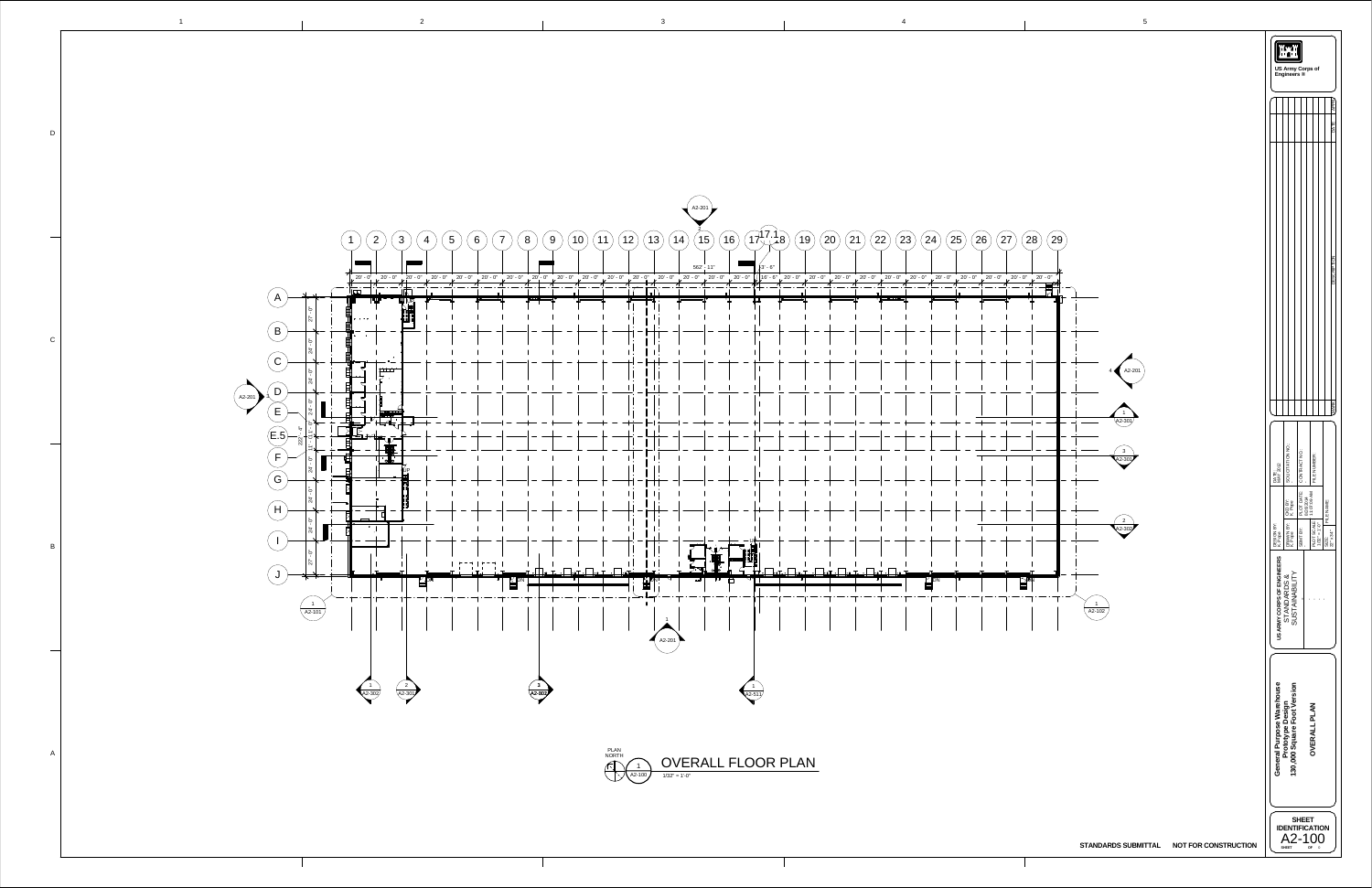![](_page_1_Figure_0.jpeg)

![](_page_1_Figure_1.jpeg)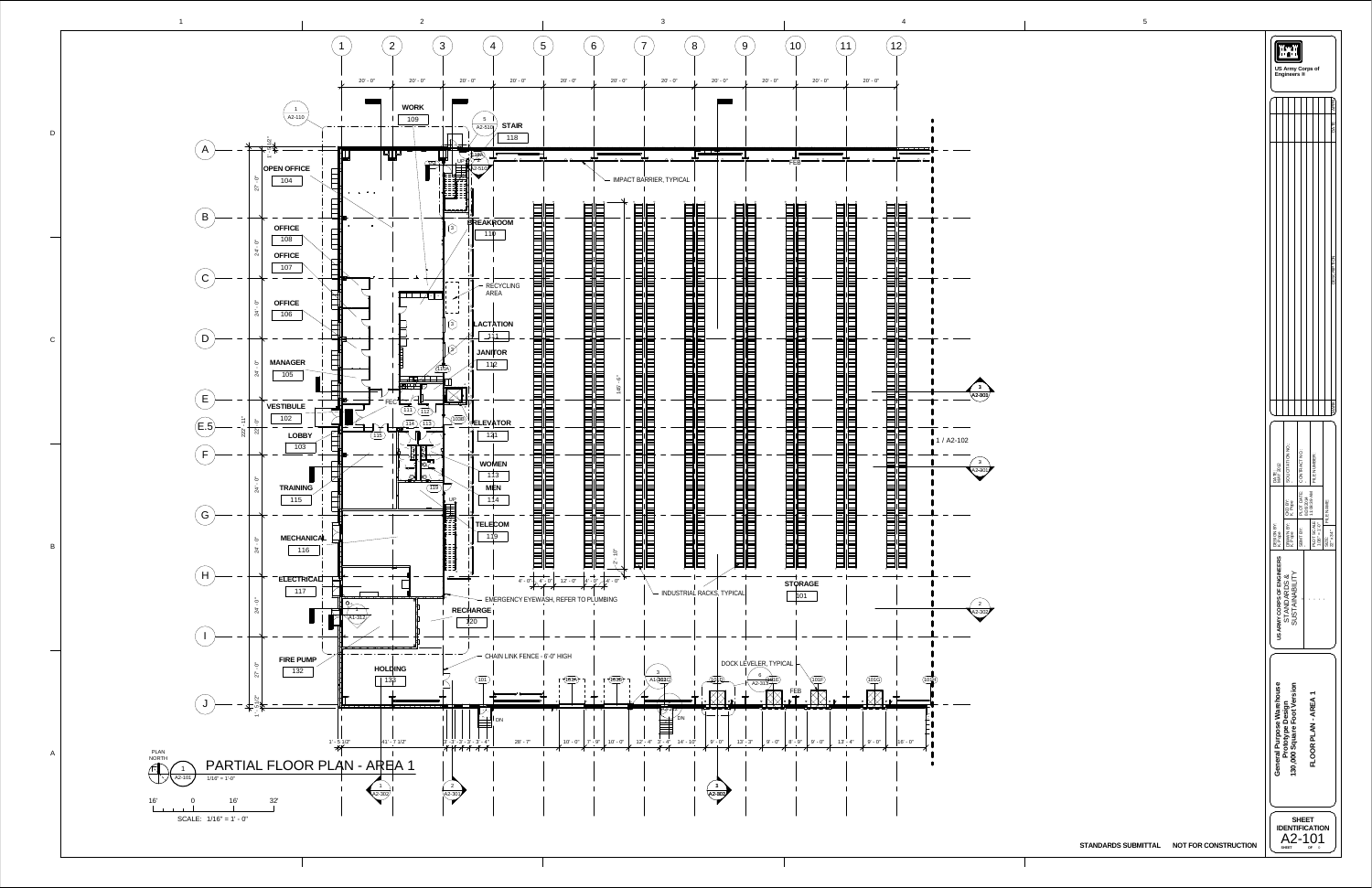![](_page_2_Figure_0.jpeg)

|                            | <b>US Army Corps of</b><br>Engineers ®          |                          |    |                                                                |                                         |
|----------------------------|-------------------------------------------------|--------------------------|----|----------------------------------------------------------------|-----------------------------------------|
|                            |                                                 |                          |    |                                                                | APPR<br>DATE                            |
|                            |                                                 |                          |    |                                                                | SCR<br><br>ă                            |
|                            |                                                 |                          |    |                                                                | MARK                                    |
| DATE:<br>MAY 2012          | SOLICITATION NO.:                               | PLOT DATE: CONTRACT NO.: |    | FILE NUMBER:                                                   |                                         |
|                            | BY: CKD BY:<br>K. Pope                          |                          |    | $\left \frac{\text{PLOT SCALE}}{1/16^{19}}\right $ 11:08:39 AM | FILE NAME:                              |
| DESIGN BY:<br>K. Pope      | DRAWN<br>K. Pope                                | SBMT BY:                 |    |                                                                | $22^{\circ} \times 34^{\circ}$<br>SIZE: |
| US ARMY CORPS OF ENGINEERS | SUSTAINABILITY<br>STANDARDS &                   |                          |    |                                                                |                                         |
| General Purpose Warehouse  | 130,000 Square Foot Version<br>Prototype Design |                          |    | FLOOR PLAN-AREA1                                               |                                         |
|                            | <b>SHEET</b>                                    | <b>SHEET</b>             | ΟF | <b>NTIFICATION</b><br>$.2 - 101$<br>0                          |                                         |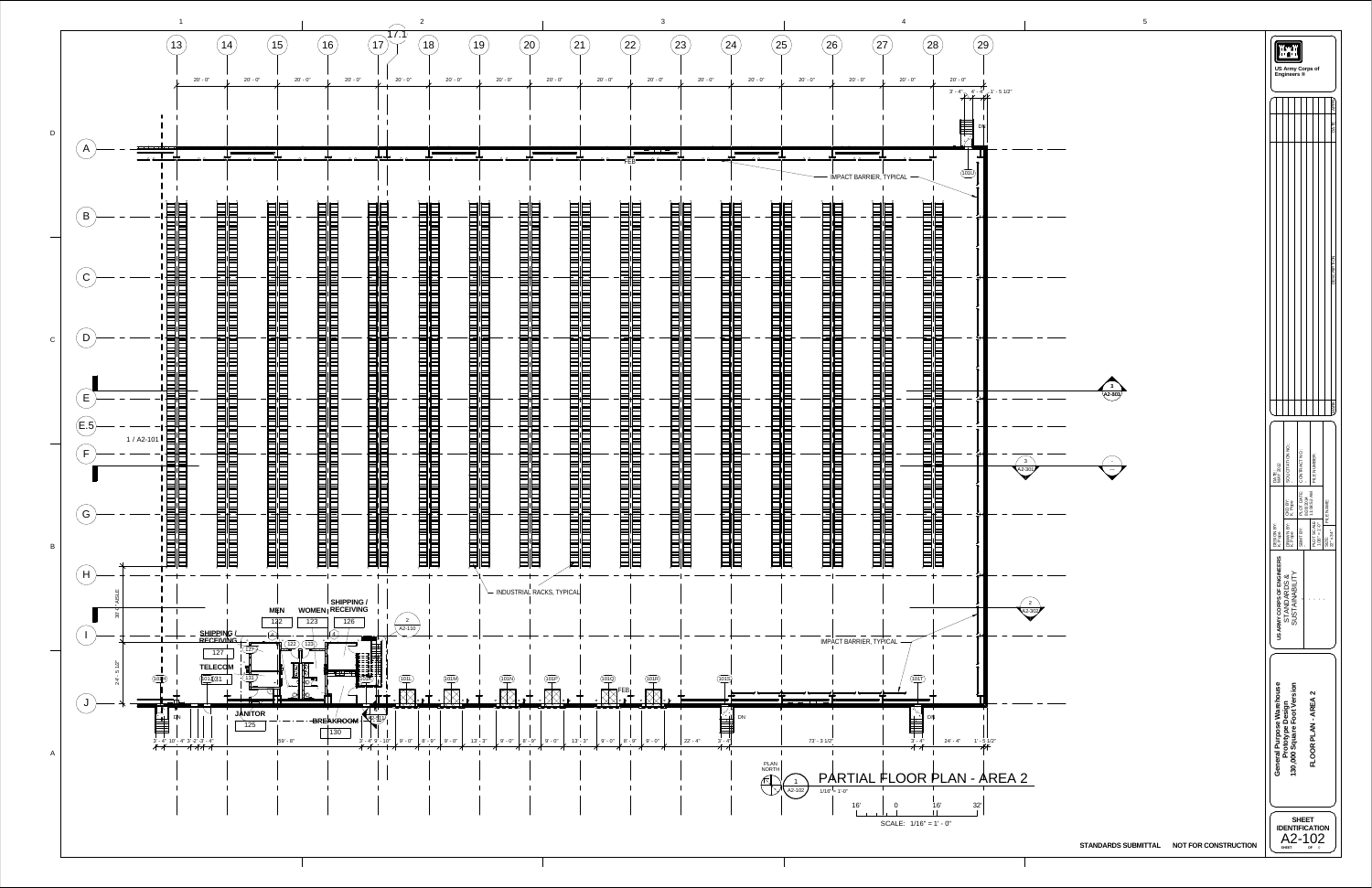| 4                                                                                                                                                                                       | $\mathbf{b}$                                                                                   |                       |                                                                              |                                                    |                                    |                                  |
|-----------------------------------------------------------------------------------------------------------------------------------------------------------------------------------------|------------------------------------------------------------------------------------------------|-----------------------|------------------------------------------------------------------------------|----------------------------------------------------|------------------------------------|----------------------------------|
| 27<br>28<br>29<br>$0'$ - $0''$<br>$20' - 0''$<br>$20' - 0''$                                                                                                                            |                                                                                                |                       |                                                                              | US Army Corps of<br>Engineers ®                    |                                    |                                  |
| $3' - 4''$ $4' - 4''$ $1' - 51/2''$<br><b>DN</b>                                                                                                                                        |                                                                                                |                       |                                                                              |                                                    |                                    | <b>APPR</b><br>DATE              |
| <b>TO</b><br>(101U)<br><b>BARRIER, TYPICAL</b>                                                                                                                                          |                                                                                                |                       |                                                                              |                                                    |                                    |                                  |
| <b>n</b><br>$\frac{1}{d}$<br>E<br>Ib.<br>$\mathbb{D}$<br>Ξ<br>뭐<br>Ξ                                                                                                                    |                                                                                                |                       |                                                                              |                                                    |                                    | <b>DESCRIPTION</b>               |
| $\blacksquare$<br>$\equiv$<br>═<br>═<br>$\mathbb{R}$<br>Ξ<br>$\equiv$<br>Ξ<br>Ξ<br>$\overline{H}^{\mathbf{b}}$<br>$\mathbb{R}$<br>Ξ<br>Þ                                                | 3<br>$\sqrt{42 - 803}$                                                                         |                       |                                                                              |                                                    |                                    | <b>MARK</b>                      |
| $\mathbf{p}$<br>═<br>ᆏ<br>⋿<br>E<br>Þ<br>$\mathbb{D}$<br>≣                                                                                                                              | $\mathbf{3}$<br>$\overline{\phantom{0}}$<br>$A2-301$<br>$\scriptstyle\cdots\scriptstyle\cdots$ | DATE:<br>MAY 2012     | SOLICITATION NO.:                                                            | CONTRACT NO.                                       | FILE NUMBER:                       |                                  |
| Ξ<br>=<br>$\sim$<br>$\equiv$<br>E<br>E<br>$\equiv$<br>ᆏ<br>$\equiv$<br>$\blacksquare$<br>$\overline{\phantom{0}}$<br>$\blacksquare$<br>$\equiv$<br>⋿<br>$\Box$<br><b>To</b><br>$\equiv$ |                                                                                                | DESIGN BY:<br>K. Pope | CKD BY:<br>K. Pope<br>DRAWN BY:<br>K. Pope                                   | PLOT DATE:<br>8/26/2014<br>11:08:52 AM<br>SBMT BY: | PLOT SCALE:<br>$1/16" = 1'-0"$     | FILE NAME:<br>SIZE:<br>22" x 34" |
| $\overline{p}$<br>RRIER, TYPICAL                                                                                                                                                        | $\overline{2}$<br>$42 - 302$                                                                   |                       | US ARMY CORPS OF ENGINEERS<br>STANDARDS &<br>SUSTAINABILITY                  |                                                    | $\mathbf{1}=\mathbf{1}=\mathbf{1}$ |                                  |
| <b>To</b><br>(101T)<br>ਰ ਓ<br>럘<br>$\blacksquare$<br>╺<br>DN<br>$1' - 5 \frac{1}{2}$<br>$3' - 4''$<br>$24' - 4"$<br>IAL FLOOR PLAN - AREA 2                                             |                                                                                                |                       | General Purpose Warehouse<br>Prototype Design<br>130,000 Square Foot Version |                                                    | FLOOR PLAN-AREA 2                  |                                  |
| 16'<br>32'<br>16'<br>$\mathbf 0$<br>SCALE: $1/16" = 1' - 0"$                                                                                                                            | <b>NOT FOR CONSTRUCTION</b><br><b>STANDARDS SUBMITTAL</b>                                      |                       | <b>SHEET</b>                                                                 | <b>SHEET</b><br><b>IDENTIFICATION</b><br>A2-102    | OF <sub>0</sub>                    |                                  |

![](_page_3_Figure_0.jpeg)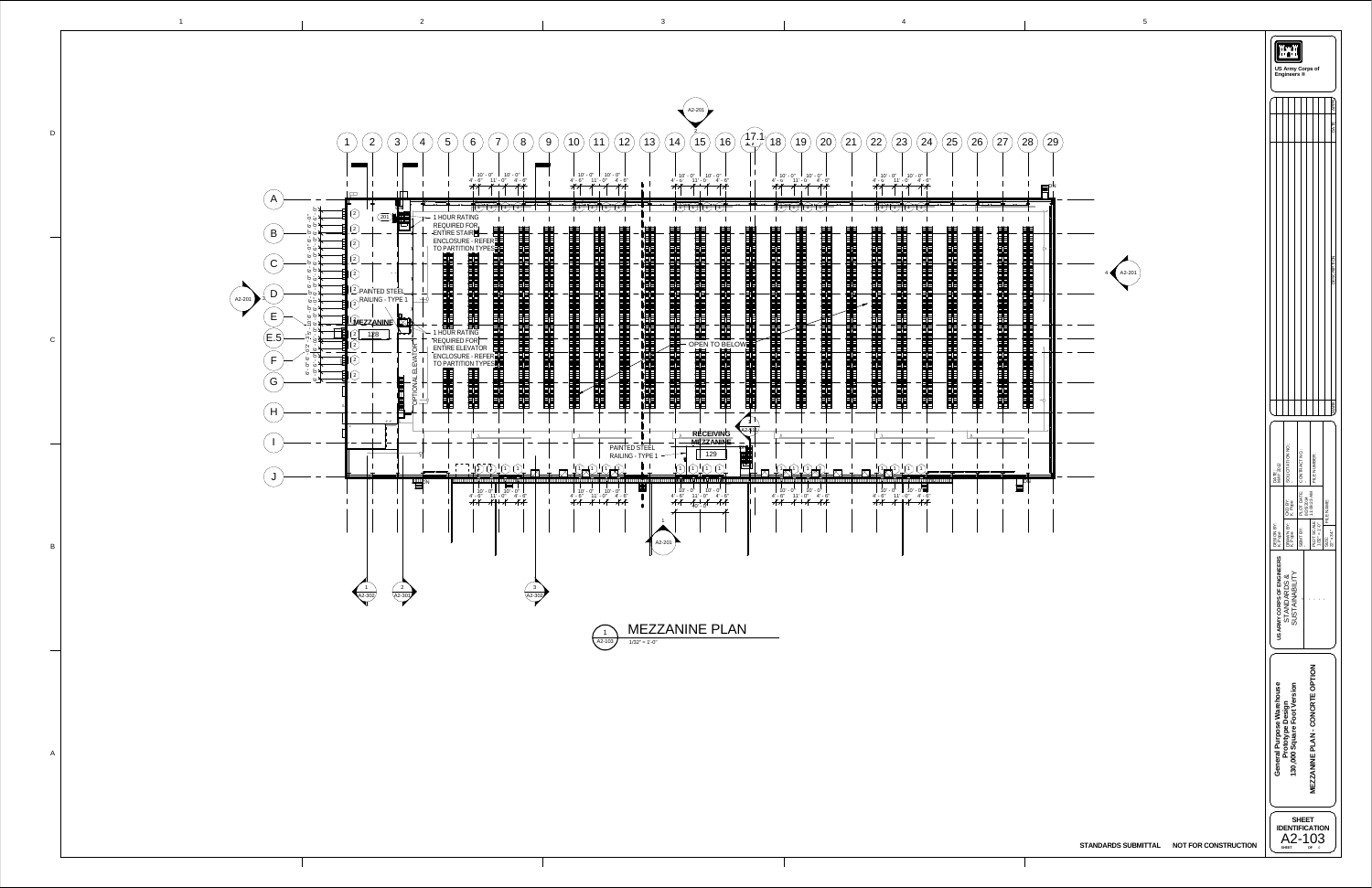![](_page_4_Figure_0.jpeg)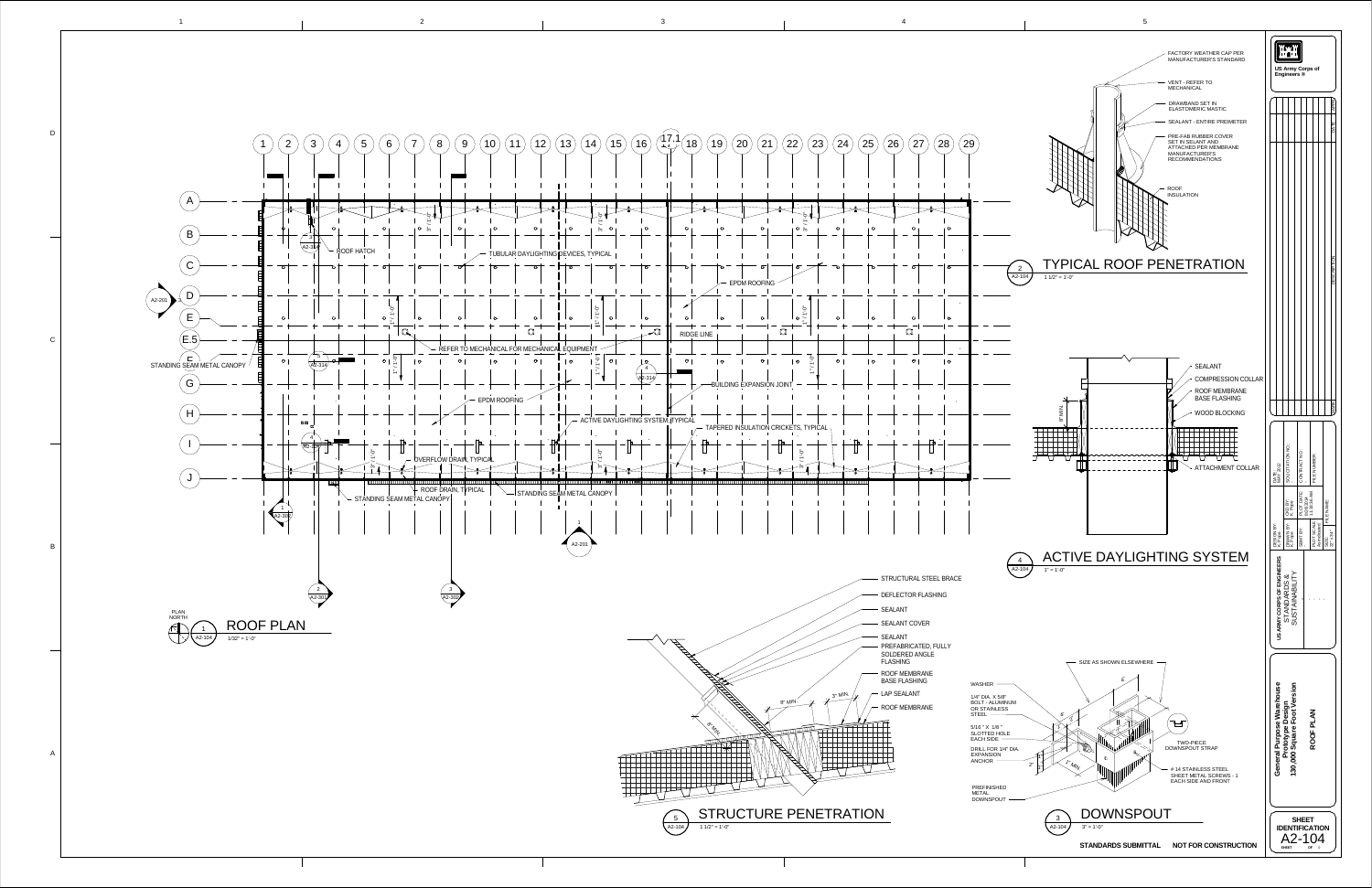![](_page_5_Figure_0.jpeg)

1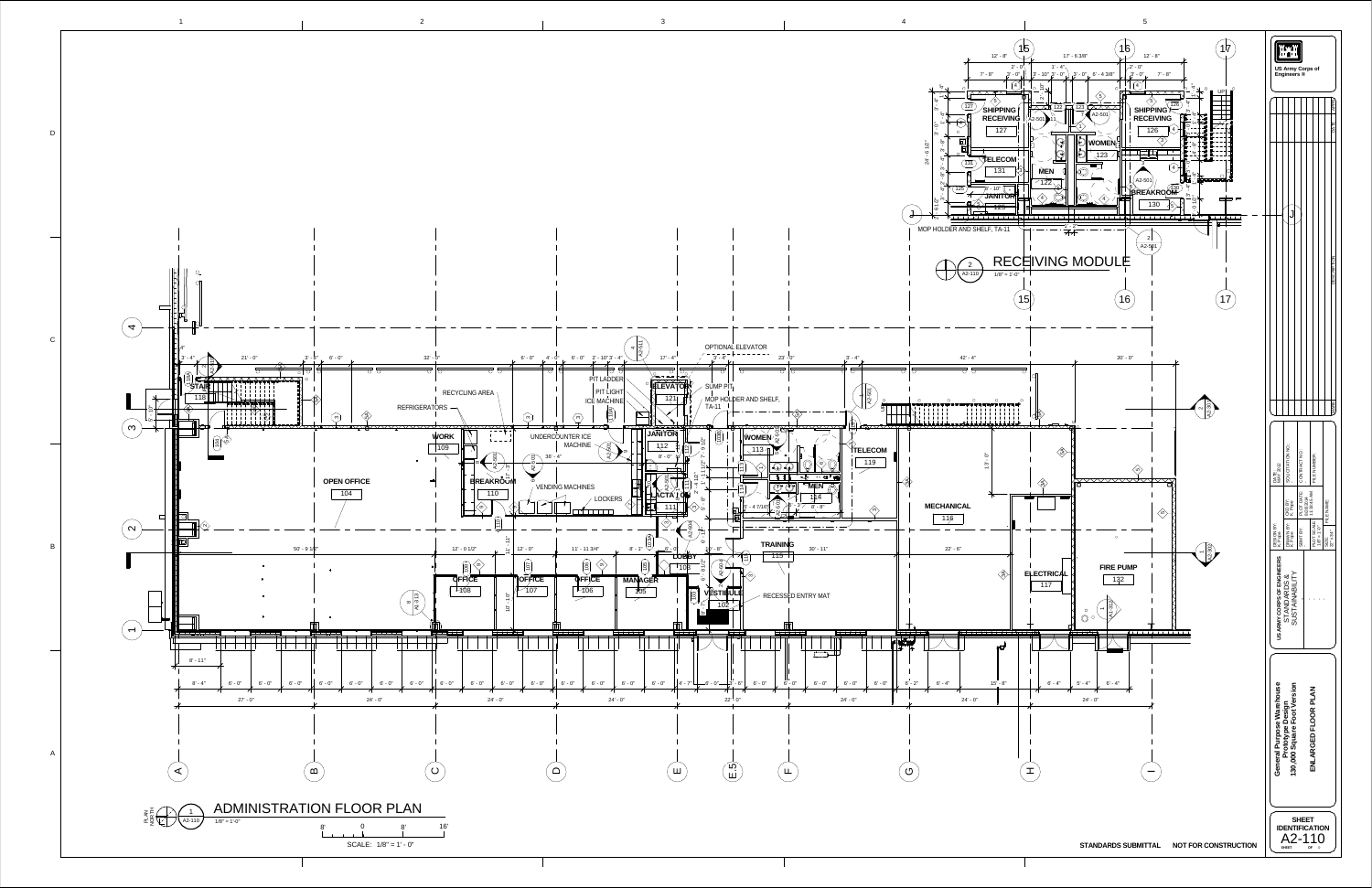![](_page_6_Figure_0.jpeg)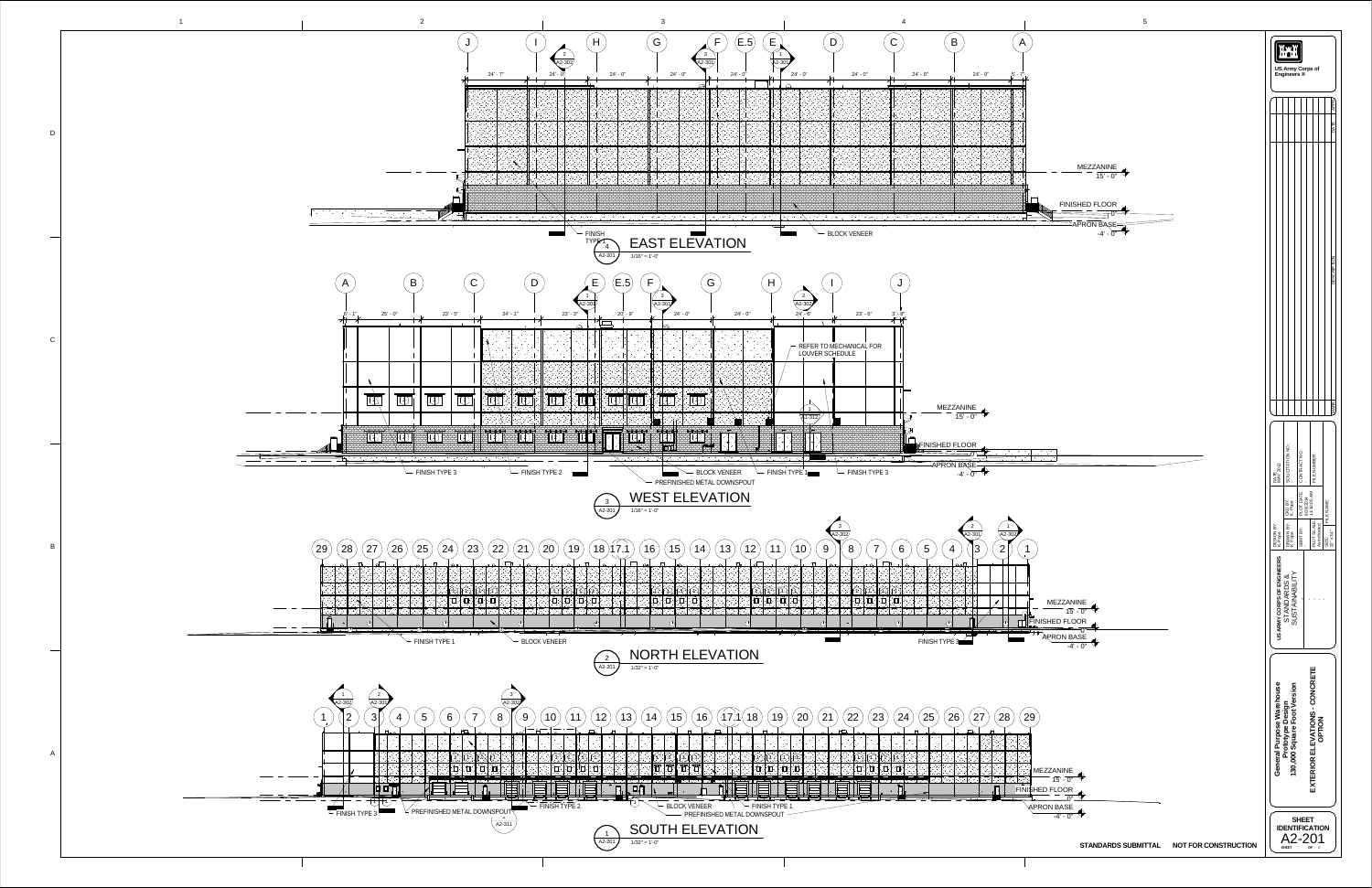![](_page_7_Figure_0.jpeg)